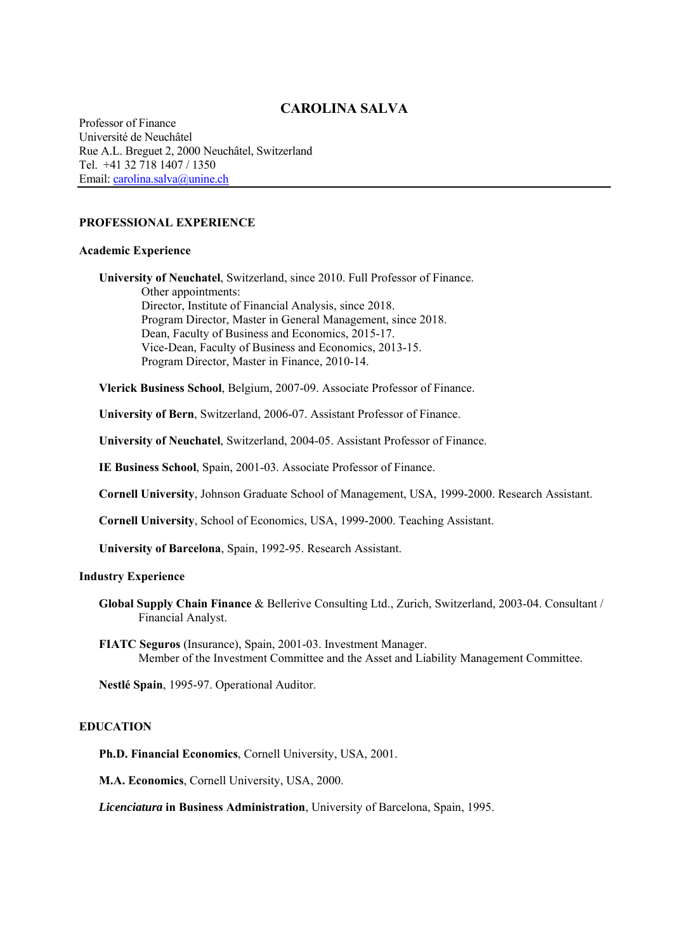# **CAROLINA SALVA**

Professor of Finance Université de Neuchâtel Rue A.L. Breguet 2, 2000 Neuchâtel, Switzerland Tel. +41 32 718 1407 / 1350 Email: carolina.salva@unine.ch

## **PROFESSIONAL EXPERIENCE**

#### **Academic Experience**

**University of Neuchatel**, Switzerland, since 2010. Full Professor of Finance. Other appointments: Director, Institute of Financial Analysis, since 2018. Program Director, Master in General Management, since 2018. Dean, Faculty of Business and Economics, 2015-17. Vice-Dean, Faculty of Business and Economics, 2013-15. Program Director, Master in Finance, 2010-14.

**Vlerick Business School**, Belgium, 2007-09. Associate Professor of Finance.

**University of Bern**, Switzerland, 2006-07. Assistant Professor of Finance.

**University of Neuchatel**, Switzerland, 2004-05. Assistant Professor of Finance.

**IE Business School**, Spain, 2001-03. Associate Professor of Finance.

**Cornell University**, Johnson Graduate School of Management, USA, 1999-2000. Research Assistant.

**Cornell University**, School of Economics, USA, 1999-2000. Teaching Assistant.

**University of Barcelona**, Spain, 1992-95. Research Assistant.

#### **Industry Experience**

**Global Supply Chain Finance** & Bellerive Consulting Ltd., Zurich, Switzerland, 2003-04. Consultant / Financial Analyst.

**FIATC Seguros** (Insurance), Spain, 2001-03. Investment Manager. Member of the Investment Committee and the Asset and Liability Management Committee.

**Nestlé Spain**, 1995-97. Operational Auditor.

### **EDUCATION**

**Ph.D. Financial Economics**, Cornell University, USA, 2001.

**M.A. Economics**, Cornell University, USA, 2000.

*Licenciatura* **in Business Administration**, University of Barcelona, Spain, 1995.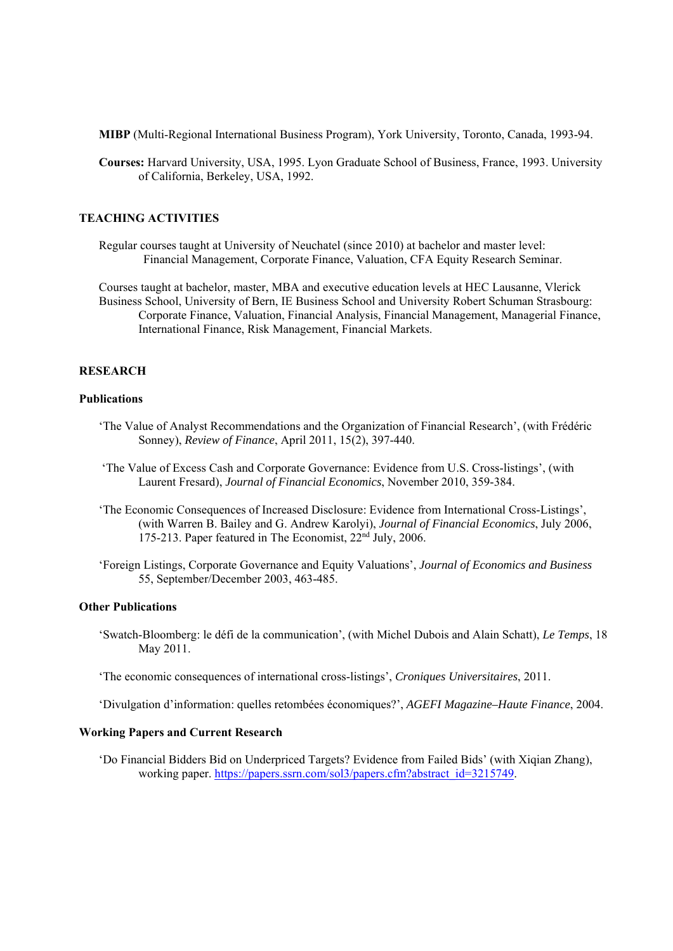**MIBP** (Multi-Regional International Business Program), York University, Toronto, Canada, 1993-94.

**Courses:** Harvard University, USA, 1995. Lyon Graduate School of Business, France, 1993. University of California, Berkeley, USA, 1992.

## **TEACHING ACTIVITIES**

Regular courses taught at University of Neuchatel (since 2010) at bachelor and master level: Financial Management, Corporate Finance, Valuation, CFA Equity Research Seminar.

Courses taught at bachelor, master, MBA and executive education levels at HEC Lausanne, Vlerick Business School, University of Bern, IE Business School and University Robert Schuman Strasbourg: Corporate Finance, Valuation, Financial Analysis, Financial Management, Managerial Finance, International Finance, Risk Management, Financial Markets.

### **RESEARCH**

#### **Publications**

- 'The Value of Analyst Recommendations and the Organization of Financial Research', (with Frédéric Sonney), *Review of Finance*, April 2011, 15(2), 397-440.
- 'The Value of Excess Cash and Corporate Governance: Evidence from U.S. Cross-listings', (with Laurent Fresard), *Journal of Financial Economics*, November 2010, 359-384.
- 'The Economic Consequences of Increased Disclosure: Evidence from International Cross-Listings', (with Warren B. Bailey and G. Andrew Karolyi), *Journal of Financial Economics*, July 2006, 175-213. Paper featured in The Economist, 22nd July, 2006.
- 'Foreign Listings, Corporate Governance and Equity Valuations', *Journal of Economics and Business*  55, September/December 2003, 463-485.

#### **Other Publications**

 'Swatch-Bloomberg: le défi de la communication', (with Michel Dubois and Alain Schatt), *Le Temps*, 18 May 2011.

'The economic consequences of international cross-listings', *Croniques Universitaires*, 2011.

'Divulgation d'information: quelles retombées économiques?', *AGEFI Magazine–Haute Finance*, 2004.

### **Working Papers and Current Research**

'Do Financial Bidders Bid on Underpriced Targets? Evidence from Failed Bids' (with Xiqian Zhang), working paper. https://papers.ssrn.com/sol3/papers.cfm?abstract\_id=3215749.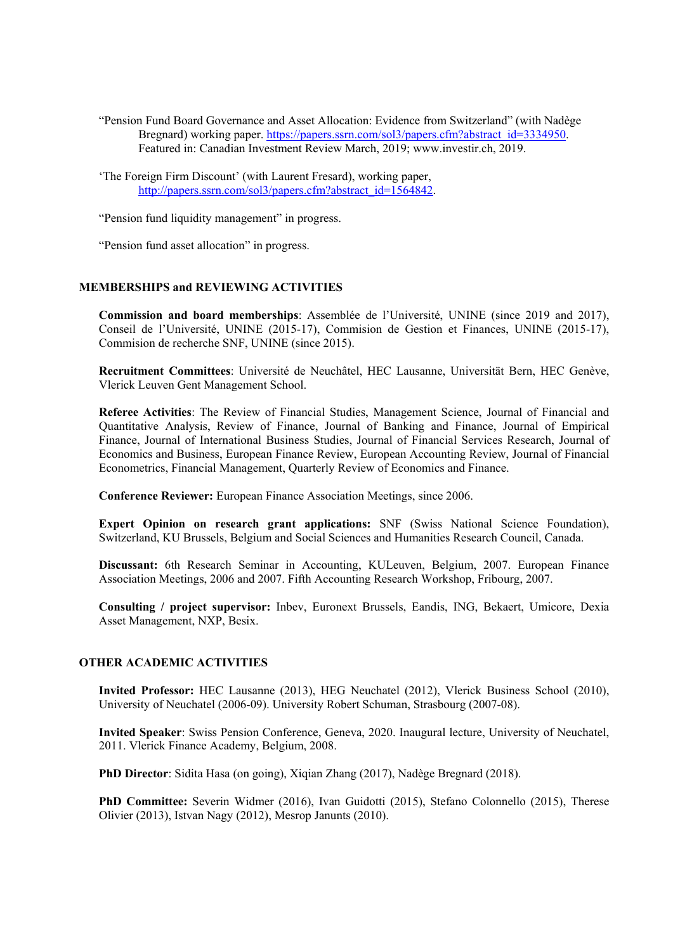- "Pension Fund Board Governance and Asset Allocation: Evidence from Switzerland" (with Nadège Bregnard) working paper. https://papers.ssrn.com/sol3/papers.cfm?abstract\_id=3334950. Featured in: Canadian Investment Review March, 2019; www.investir.ch, 2019.
- 'The Foreign Firm Discount' (with Laurent Fresard), working paper, http://papers.ssrn.com/sol3/papers.cfm?abstract\_id=1564842.

"Pension fund liquidity management" in progress.

"Pension fund asset allocation" in progress.

# **MEMBERSHIPS and REVIEWING ACTIVITIES**

**Commission and board memberships**: Assemblée de l'Université, UNINE (since 2019 and 2017), Conseil de l'Université, UNINE (2015-17), Commision de Gestion et Finances, UNINE (2015-17), Commision de recherche SNF, UNINE (since 2015).

**Recruitment Committees**: Université de Neuchâtel, HEC Lausanne, Universität Bern, HEC Genève, Vlerick Leuven Gent Management School.

**Referee Activities**: The Review of Financial Studies, Management Science, Journal of Financial and Quantitative Analysis, Review of Finance, Journal of Banking and Finance, Journal of Empirical Finance, Journal of International Business Studies, Journal of Financial Services Research, Journal of Economics and Business, European Finance Review, European Accounting Review, Journal of Financial Econometrics, Financial Management, Quarterly Review of Economics and Finance.

**Conference Reviewer:** European Finance Association Meetings, since 2006.

**Expert Opinion on research grant applications:** SNF (Swiss National Science Foundation), Switzerland, KU Brussels, Belgium and Social Sciences and Humanities Research Council, Canada.

**Discussant:** 6th Research Seminar in Accounting, KULeuven, Belgium, 2007. European Finance Association Meetings, 2006 and 2007. Fifth Accounting Research Workshop, Fribourg, 2007.

**Consulting / project supervisor:** Inbev, Euronext Brussels, Eandis, ING, Bekaert, Umicore, Dexia Asset Management, NXP, Besix.

## **OTHER ACADEMIC ACTIVITIES**

**Invited Professor:** HEC Lausanne (2013), HEG Neuchatel (2012), Vlerick Business School (2010), University of Neuchatel (2006-09). University Robert Schuman, Strasbourg (2007-08).

**Invited Speaker**: Swiss Pension Conference, Geneva, 2020. Inaugural lecture, University of Neuchatel, 2011. Vlerick Finance Academy, Belgium, 2008.

**PhD Director**: Sidita Hasa (on going), Xiqian Zhang (2017), Nadège Bregnard (2018).

**PhD Committee:** Severin Widmer (2016), Ivan Guidotti (2015), Stefano Colonnello (2015), Therese Olivier (2013), Istvan Nagy (2012), Mesrop Janunts (2010).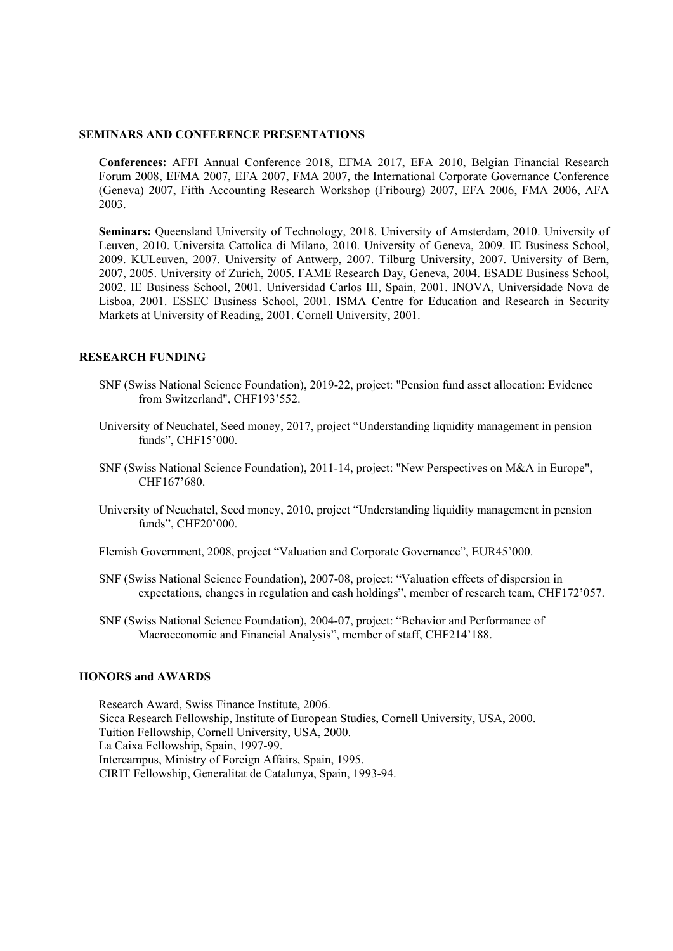## **SEMINARS AND CONFERENCE PRESENTATIONS**

**Conferences:** AFFI Annual Conference 2018, EFMA 2017, EFA 2010, Belgian Financial Research Forum 2008, EFMA 2007, EFA 2007, FMA 2007, the International Corporate Governance Conference (Geneva) 2007, Fifth Accounting Research Workshop (Fribourg) 2007, EFA 2006, FMA 2006, AFA 2003.

**Seminars:** Queensland University of Technology, 2018. University of Amsterdam, 2010. University of Leuven, 2010. Universita Cattolica di Milano, 2010. University of Geneva, 2009. IE Business School, 2009. KULeuven, 2007. University of Antwerp, 2007. Tilburg University, 2007. University of Bern, 2007, 2005. University of Zurich, 2005. FAME Research Day, Geneva, 2004. ESADE Business School, 2002. IE Business School, 2001. Universidad Carlos III, Spain, 2001. INOVA, Universidade Nova de Lisboa, 2001. ESSEC Business School, 2001. ISMA Centre for Education and Research in Security Markets at University of Reading, 2001. Cornell University, 2001.

## **RESEARCH FUNDING**

- SNF (Swiss National Science Foundation), 2019-22, project: "Pension fund asset allocation: Evidence from Switzerland", CHF193'552.
- University of Neuchatel, Seed money, 2017, project "Understanding liquidity management in pension funds", CHF15'000.
- SNF (Swiss National Science Foundation), 2011-14, project: "New Perspectives on M&A in Europe", CHF167'680.
- University of Neuchatel, Seed money, 2010, project "Understanding liquidity management in pension funds", CHF20'000.
- Flemish Government, 2008, project "Valuation and Corporate Governance", EUR45'000.
- SNF (Swiss National Science Foundation), 2007-08, project: "Valuation effects of dispersion in expectations, changes in regulation and cash holdings", member of research team, CHF172'057.
- SNF (Swiss National Science Foundation), 2004-07, project: "Behavior and Performance of Macroeconomic and Financial Analysis", member of staff, CHF214'188.

## **HONORS and AWARDS**

Research Award, Swiss Finance Institute, 2006. Sicca Research Fellowship, Institute of European Studies, Cornell University, USA, 2000. Tuition Fellowship, Cornell University, USA, 2000. La Caixa Fellowship, Spain, 1997-99. Intercampus, Ministry of Foreign Affairs, Spain, 1995. CIRIT Fellowship, Generalitat de Catalunya, Spain, 1993-94.